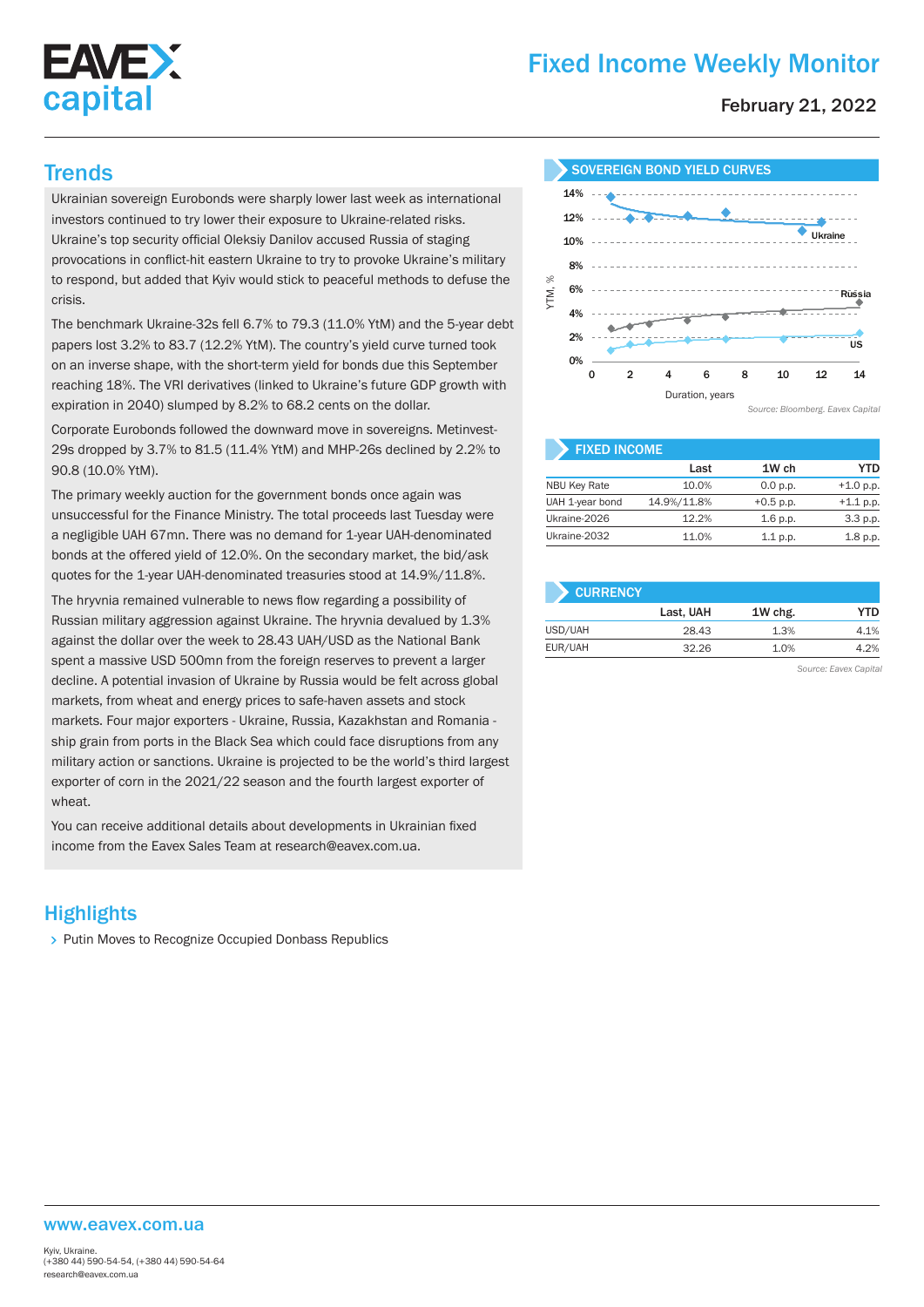

# Fixed Income Weekly Monitor

February 21, 2022

Ukrainian sovereign Eurobonds were sharply lower last week as international investors continued to try lower their exposure to Ukraine-related risks. Ukraine's top security official Oleksiy Danilov accused Russia of staging provocations in conflict-hit eastern Ukraine to try to provoke Ukraine's military to respond, but added that Kyiv would stick to peaceful methods to defuse the crisis.

The benchmark Ukraine-32s fell 6.7% to 79.3 (11.0% YtM) and the 5-year debt papers lost 3.2% to 83.7 (12.2% YtM). The country's yield curve turned took on an inverse shape, with the short-term yield for bonds due this September reaching 18%. The VRI derivatives (linked to Ukraine's future GDP growth with expiration in 2040) slumped by 8.2% to 68.2 cents on the dollar.

Corporate Eurobonds followed the downward move in sovereigns. Metinvest-29s dropped by 3.7% to 81.5 (11.4% YtM) and MHP-26s declined by 2.2% to 90.8 (10.0% YtM).

The primary weekly auction for the government bonds once again was unsuccessful for the Finance Ministry. The total proceeds last Tuesday were a negligible UAH 67mn. There was no demand for 1-year UAH-denominated bonds at the offered yield of 12.0%. On the secondary market, the bid/ask quotes for the 1-year UAH-denominated treasuries stood at 14.9%/11.8%.

The hryvnia remained vulnerable to news flow regarding a possibility of Russian military aggression against Ukraine. The hryvnia devalued by 1.3% against the dollar over the week to 28.43 UAH/USD as the National Bank spent a massive USD 500mn from the foreign reserves to prevent a larger decline. A potential invasion of Ukraine by Russia would be felt across global markets, from wheat and energy prices to safe-haven assets and stock markets. Four major exporters - Ukraine, Russia, Kazakhstan and Romania ship grain from ports in the Black Sea which could face disruptions from any military action or sanctions. Ukraine is projected to be the world's third largest exporter of corn in the 2021/22 season and the fourth largest exporter of wheat.

You can receive additional details about developments in Ukrainian fixed income from the Eavex Sales Team at research@eavex.com.ua.

## **Highlights**

> Putin Moves to Recognize Occupied Donbass Republics





| <b>FIXED INCOME</b> |             |             |             |  |  |  |  |
|---------------------|-------------|-------------|-------------|--|--|--|--|
|                     | Last        | 1W ch       | YTD         |  |  |  |  |
| <b>NBU Key Rate</b> | 10.0%       | 0.0 p.p.    | $+1.0 p.p.$ |  |  |  |  |
| UAH 1-year bond     | 14.9%/11.8% | $+0.5$ p.p. | $+1.1 p.p.$ |  |  |  |  |
| Ukraine-2026        | 12.2%       | $1.6$ p.p.  | 3.3 p.p.    |  |  |  |  |
| Ukraine-2032        | 11.0%       | $1.1$ p.p.  | 1.8 p.p.    |  |  |  |  |

| <b>CURRENCY</b> |           |         |      |
|-----------------|-----------|---------|------|
|                 | Last, UAH | 1W chg. | YTD  |
| USD/UAH         | 28.43     | 1.3%    | 4.1% |
| EUR/UAH         | 32.26     | 1.0%    | 4.2% |

*Source: Eavex Capital*

#### www.eavex.com.ua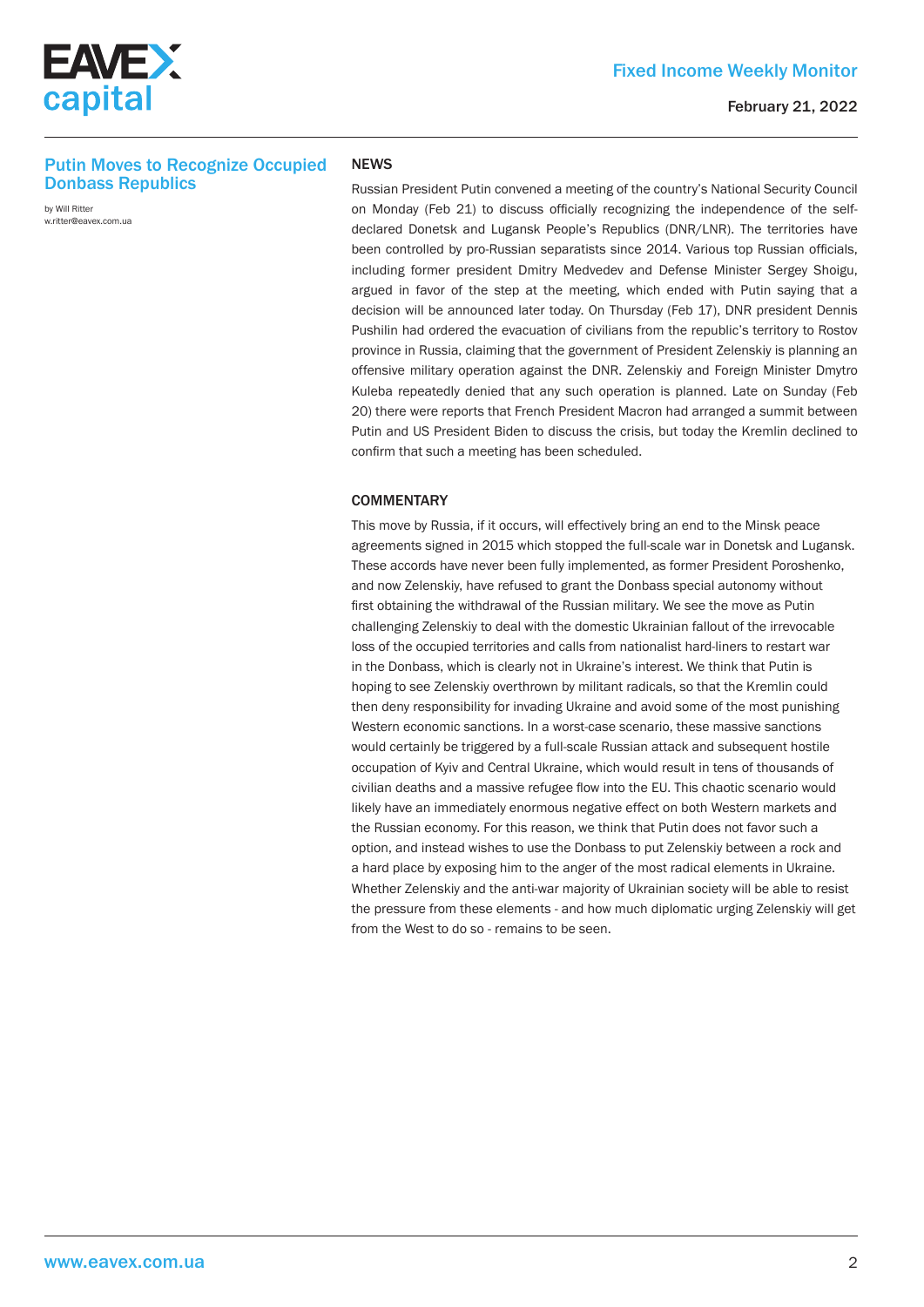

### Fixed Income Weekly Monitor

### Putin Moves to Recognize Occupied Donbass Republics

by Will Ritter w.ritter@eavex.com.ua

#### **NEWS**

Russian President Putin convened a meeting of the country's National Security Council on Monday (Feb 21) to discuss officially recognizing the independence of the selfdeclared Donetsk and Lugansk People's Republics (DNR/LNR). The territories have been controlled by pro-Russian separatists since 2014. Various top Russian officials, including former president Dmitry Medvedev and Defense Minister Sergey Shoigu, argued in favor of the step at the meeting, which ended with Putin saying that a decision will be announced later today. On Thursday (Feb 17), DNR president Dennis Pushilin had ordered the evacuation of civilians from the republic's territory to Rostov province in Russia, claiming that the government of President Zelenskiy is planning an offensive military operation against the DNR. Zelenskiy and Foreign Minister Dmytro Kuleba repeatedly denied that any such operation is planned. Late on Sunday (Feb 20) there were reports that French President Macron had arranged a summit between Putin and US President Biden to discuss the crisis, but today the Kremlin declined to confirm that such a meeting has been scheduled.

#### **COMMENTARY**

This move by Russia, if it occurs, will effectively bring an end to the Minsk peace agreements signed in 2015 which stopped the full-scale war in Donetsk and Lugansk. These accords have never been fully implemented, as former President Poroshenko, and now Zelenskiy, have refused to grant the Donbass special autonomy without first obtaining the withdrawal of the Russian military. We see the move as Putin challenging Zelenskiy to deal with the domestic Ukrainian fallout of the irrevocable loss of the occupied territories and calls from nationalist hard-liners to restart war in the Donbass, which is clearly not in Ukraine's interest. We think that Putin is hoping to see Zelenskiy overthrown by militant radicals, so that the Kremlin could then deny responsibility for invading Ukraine and avoid some of the most punishing Western economic sanctions. In a worst-case scenario, these massive sanctions would certainly be triggered by a full-scale Russian attack and subsequent hostile occupation of Kyiv and Central Ukraine, which would result in tens of thousands of civilian deaths and a massive refugee flow into the EU. This chaotic scenario would likely have an immediately enormous negative effect on both Western markets and the Russian economy. For this reason, we think that Putin does not favor such a option, and instead wishes to use the Donbass to put Zelenskiy between a rock and a hard place by exposing him to the anger of the most radical elements in Ukraine. Whether Zelenskiy and the anti-war majority of Ukrainian society will be able to resist the pressure from these elements - and how much diplomatic urging Zelenskiy will get from the West to do so - remains to be seen.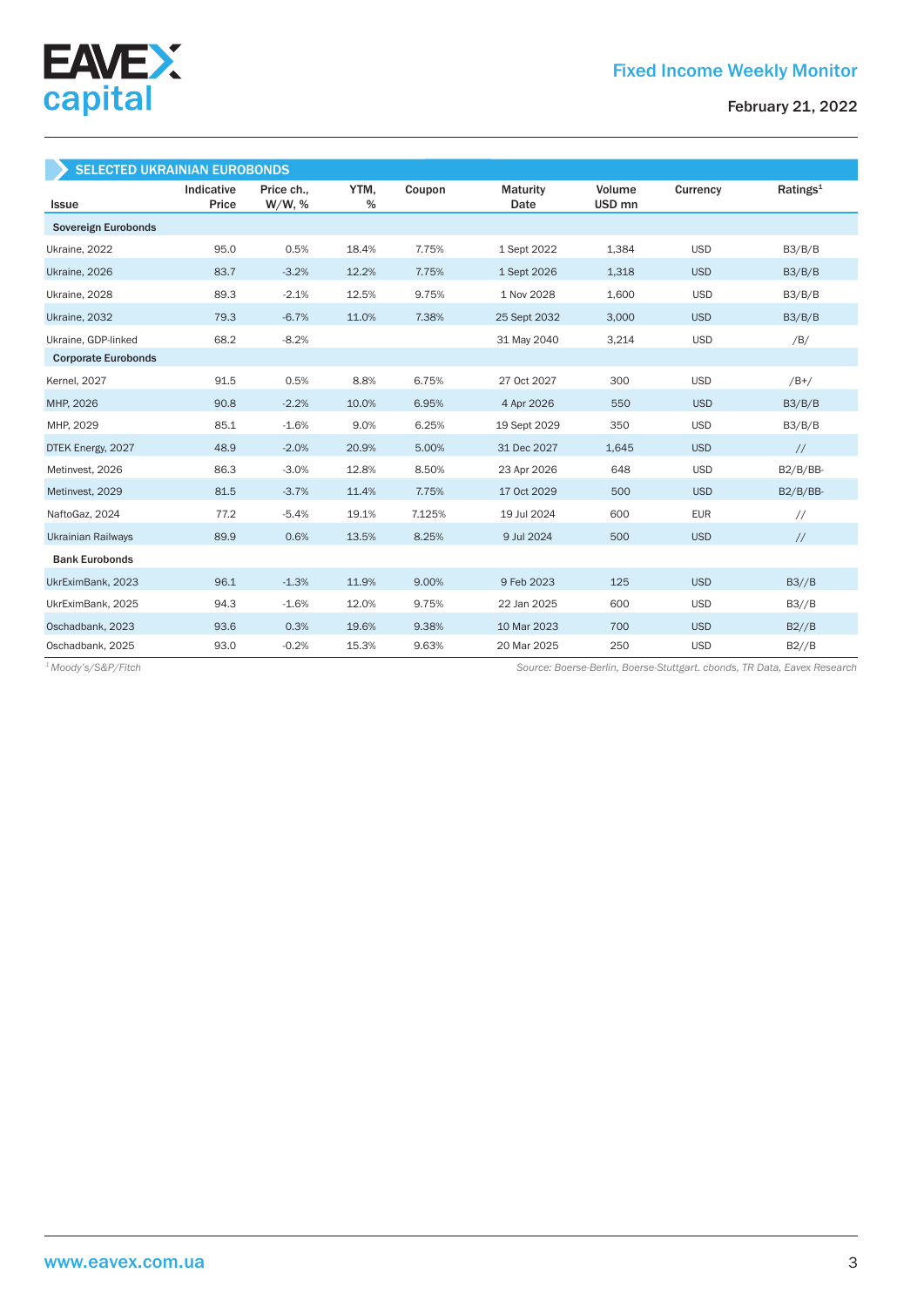

February 21, 2022

| <b>SELECTED UKRAINIAN EUROBONDS</b> |                     |                      |              |        |                         |                             |            |                      |
|-------------------------------------|---------------------|----------------------|--------------|--------|-------------------------|-----------------------------|------------|----------------------|
| <b>Issue</b>                        | Indicative<br>Price | Price ch.,<br>W/W, % | YTM,<br>$\%$ | Coupon | <b>Maturity</b><br>Date | Volume<br>USD <sub>mn</sub> | Currency   | Ratings <sup>1</sup> |
| Sovereign Eurobonds                 |                     |                      |              |        |                         |                             |            |                      |
| Ukraine, 2022                       | 95.0                | 0.5%                 | 18.4%        | 7.75%  | 1 Sept 2022             | 1,384                       | <b>USD</b> | B3/B/B               |
| Ukraine, 2026                       | 83.7                | $-3.2%$              | 12.2%        | 7.75%  | 1 Sept 2026             | 1,318                       | <b>USD</b> | B3/B/B               |
| Ukraine, 2028                       | 89.3                | $-2.1%$              | 12.5%        | 9.75%  | 1 Nov 2028              | 1,600                       | <b>USD</b> | B3/B/B               |
| Ukraine, 2032                       | 79.3                | $-6.7%$              | 11.0%        | 7.38%  | 25 Sept 2032            | 3,000                       | <b>USD</b> | B3/B/B               |
| Ukraine, GDP-linked                 | 68.2                | $-8.2%$              |              |        | 31 May 2040             | 3,214                       | <b>USD</b> | /B/                  |
| <b>Corporate Eurobonds</b>          |                     |                      |              |        |                         |                             |            |                      |
| <b>Kernel</b> , 2027                | 91.5                | 0.5%                 | 8.8%         | 6.75%  | 27 Oct 2027             | 300                         | <b>USD</b> | $/B+/$               |
| MHP, 2026                           | 90.8                | $-2.2%$              | 10.0%        | 6.95%  | 4 Apr 2026              | 550                         | <b>USD</b> | B3/B/B               |
| MHP, 2029                           | 85.1                | $-1.6%$              | 9.0%         | 6.25%  | 19 Sept 2029            | 350                         | <b>USD</b> | B3/B/B               |
| DTEK Energy, 2027                   | 48.9                | $-2.0%$              | 20.9%        | 5.00%  | 31 Dec 2027             | 1,645                       | <b>USD</b> | $\frac{1}{2}$        |
| Metinvest, 2026                     | 86.3                | $-3.0%$              | 12.8%        | 8.50%  | 23 Apr 2026             | 648                         | <b>USD</b> | $B2/B/BB-$           |
| Metinvest, 2029                     | 81.5                | $-3.7%$              | 11.4%        | 7.75%  | 17 Oct 2029             | 500                         | <b>USD</b> | $B2/B/BB-$           |
| NaftoGaz, 2024                      | 77.2                | $-5.4%$              | 19.1%        | 7.125% | 19 Jul 2024             | 600                         | <b>EUR</b> | $\frac{1}{2}$        |
| <b>Ukrainian Railways</b>           | 89.9                | 0.6%                 | 13.5%        | 8.25%  | 9 Jul 2024              | 500                         | <b>USD</b> | $\frac{1}{2}$        |
| <b>Bank Eurobonds</b>               |                     |                      |              |        |                         |                             |            |                      |
| UkrEximBank, 2023                   | 96.1                | $-1.3%$              | 11.9%        | 9.00%  | 9 Feb 2023              | 125                         | <b>USD</b> | B3//B                |
| UkrEximBank, 2025                   | 94.3                | $-1.6%$              | 12.0%        | 9.75%  | 22 Jan 2025             | 600                         | <b>USD</b> | B3//B                |
| Oschadbank, 2023                    | 93.6                | 0.3%                 | 19.6%        | 9.38%  | 10 Mar 2023             | 700                         | <b>USD</b> | B2//B                |
| Oschadbank, 2025                    | 93.0                | $-0.2%$              | 15.3%        | 9.63%  | 20 Mar 2025             | 250                         | <b>USD</b> | B2//B                |

*Source: Boerse-Berlin, Boerse-Stuttgart. cbonds, TR Data, Eavex Research <sup>1</sup> Moody's/S&P/Fitch*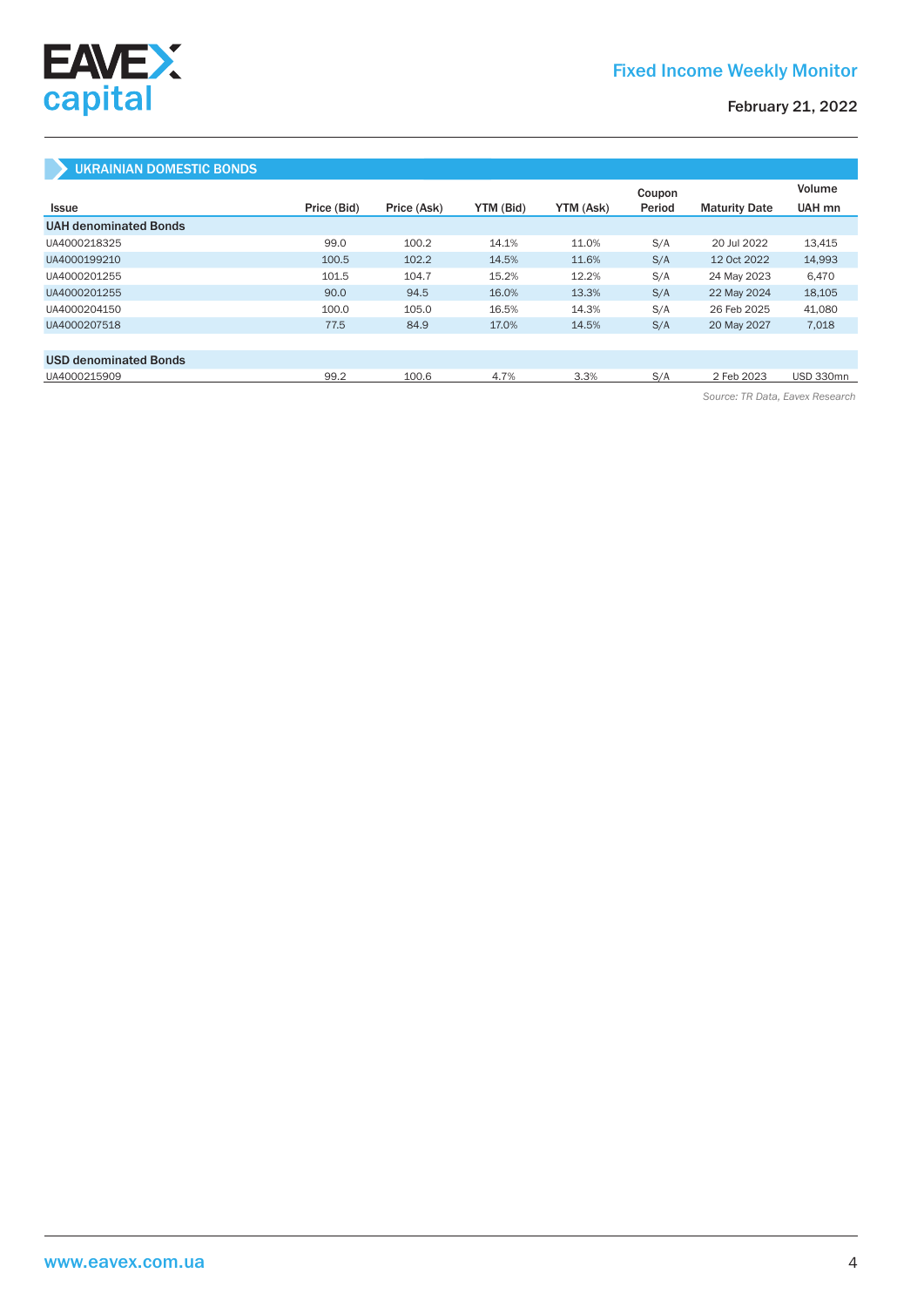

### February 21, 2022

### UKRAINIAN DOMESTIC BONDS

|                              |             |             |           |           | Coupon |                      | Volume    |
|------------------------------|-------------|-------------|-----------|-----------|--------|----------------------|-----------|
| <b>Issue</b>                 | Price (Bid) | Price (Ask) | YTM (Bid) | YTM (Ask) | Period | <b>Maturity Date</b> | UAH mn    |
| <b>UAH denominated Bonds</b> |             |             |           |           |        |                      |           |
| UA4000218325                 | 99.0        | 100.2       | 14.1%     | 11.0%     | S/A    | 20 Jul 2022          | 13.415    |
| UA4000199210                 | 100.5       | 102.2       | 14.5%     | 11.6%     | S/A    | 12 Oct 2022          | 14,993    |
| UA4000201255                 | 101.5       | 104.7       | 15.2%     | 12.2%     | S/A    | 24 May 2023          | 6,470     |
| UA4000201255                 | 90.0        | 94.5        | 16.0%     | 13.3%     | S/A    | 22 May 2024          | 18,105    |
| UA4000204150                 | 100.0       | 105.0       | 16.5%     | 14.3%     | S/A    | 26 Feb 2025          | 41.080    |
| UA4000207518                 | 77.5        | 84.9        | 17.0%     | 14.5%     | S/A    | 20 May 2027          | 7,018     |
|                              |             |             |           |           |        |                      |           |
| <b>USD denominated Bonds</b> |             |             |           |           |        |                      |           |
| UA4000215909                 | 99.2        | 100.6       | 4.7%      | 3.3%      | S/A    | 2 Feb 2023           | USD 330mn |

*Source: TR Data, Eavex Research*